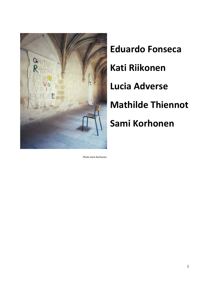

**Eduardo Fonseca Kati Riikonen Lucia Adverse Mathilde Thiennot Sami Korhonen**

Photo Sami Korhonen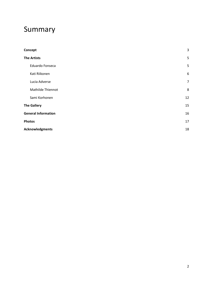# Summary

| Concept                    | 3                |
|----------------------------|------------------|
| <b>The Artists</b>         |                  |
| Eduardo Fonseca            | 5                |
| Kati Riikonen              | $\boldsymbol{6}$ |
| Lucia Adverse              | $\overline{7}$   |
| Mathilde Thiennot          | 8                |
| Sami Korhonen              | 12               |
| <b>The Gallery</b>         |                  |
| <b>General Information</b> | 16               |
| <b>Photos</b>              | 17               |
| <b>Acknowledgments</b>     |                  |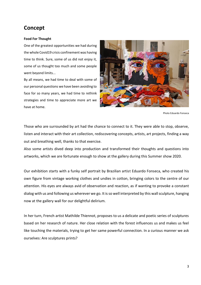# <span id="page-2-0"></span>**Concept**

#### **Food For Thought**

One of the greatest opportunities we had during the whole Covid19 crisis confinement was having time to think. Sure, some of us did not enjoy it, some of us thought too much and some people went beyond limits...

By all means, we had time to deal with some of our personal questions we have been avoiding to face for so many years, we had time to rethink strategies and time to appreciate more art we have at home.



```
 Photo Eduardo Fonseca
```
Those who are surrounded by art had the chance to connect to it. They were able to stop, observe, listen and interact with their art collection, rediscovering concepts, artists, art projects, finding a way out and breathing well, thanks to that exercise.

Also some artists dived deep into production and transformed their thoughts and questions into artworks, which we are fortunate enough to show at the gallery during this Summer show 2020.

Our exhibition starts with a funky self portrait by Brazilian artist Eduardo Fonseca, who created his own figure from vintage working clothes and undies in cotton, bringing colors to the centre of our attention. His eyes are always avid of observation and reaction, as if wanting to provoke a constant dialog with us and following us wherever we go. It is so well interpreted by this wall sculpture, hanging now at the gallery wall for our delightful delirium.

In her turn, French artist Mathilde Thiennot, proposes to us a delicate and poetic series of sculptures based on her research of nature. Her close relation with the forest influences us and makes us feel like touching the materials, trying to get her same powerful connection. In a curious manner we ask ourselves: Are sculptures prints?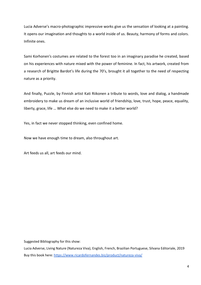Lucia Adverse's macro-photographic impressive works give us the sensation of looking at a painting. It opens our imagination and thoughts to a world inside of us. Beauty, harmony of forms and colors. Infinite ones.

Sami Korhonen's costumes are related to the forest too in an imaginary paradise he created, based on his experiences with nature mixed with the power of feminine. In fact, his artwork, created from a research of Brigitte Bardot's life during the 70's, brought it all together to the need of respecting nature as a priority.

And finally, Puzzle, by Finnish artist Kati Riikonen a tribute to words, love and dialog, a handmade embroidery to make us dream of an inclusive world of friendship, love, trust, hope, peace, equality, liberty, grace, life … What else do we need to make it a better world?

Yes, in fact we never stopped thinking, even confined home.

Now we have enough time to dream, also throughout art.

Art feeds us all, art feeds our mind.

Suggested Bibliography for this show:

Lucia Adverse, Living Nature (Natureza Viva), English, French, Brazilian Portuguese, Silvana Editoriale, 2019 Buy this book here:<https://www.ricardofernandes.biz/product/natureza-viva/>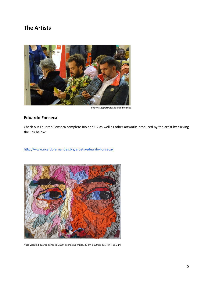# <span id="page-4-0"></span>**The Artists**



Photo autoportrait Eduardo Fonseca

### <span id="page-4-1"></span>**Eduardo Fonseca**

Check out Eduardo Fonseca complete Bio and CV as well as other artworks produced by the artist by clicking the link below:

<http://www.ricardofernandes.biz/artists/eduardo-fonseca/>



Auto Visage, Eduardo Fonseca, 2019, Technique mixte, 80 cm x 100 cm (31.4 in x 39.3 in)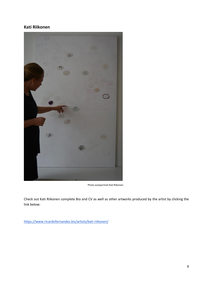### <span id="page-5-0"></span>**Kati Riikonen**



Photo autoportrait Kati Riikonen

Check out Kati Riikonen complete Bio and CV as well as other artworks produced by the artist by clicking the link below:

<https://www.ricardofernandes.biz/artists/kati-riikonen/>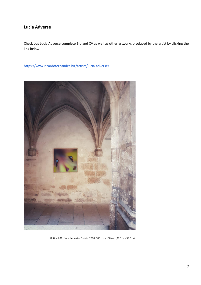## <span id="page-6-0"></span>**Lucia Adverse**

Check out Lucia Adverse complete Bio and CV as well as other artworks produced by the artist by clicking the link below:

<https://www.ricardofernandes.biz/artists/lucia-adverse/>



Untitled 01, from the series Delírio, 2018, 100 cm x 100 cm, (39.3 in x 39.3 in)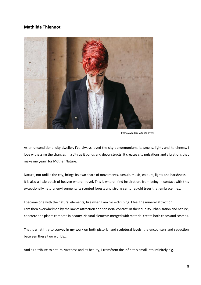### <span id="page-7-0"></span>**Mathilde Thiennot**



Photo Ayka Lux (Agence Ever)

As an unconditional city dweller, I've always loved the city pandemonium, its smells, lights and harshness. I love witnessing the changes in a city as it builds and deconstructs. It creates city pulsations and vibrations that make me yearn for Mother Nature.

Nature, not unlike the city, brings its own share of movements, tumult, music, colours, lights and harshness. It is also a little patch of heaven where I revel. This is where I find inspiration, from being in contact with this exceptionally natural environment; its scented forests and strong centuries-old trees that embrace me…

I become one with the natural elements, like when I am rock-climbing: I feel the mineral attraction. I am then overwhelmed by the law of attraction and sensorial contact. In their duality urbanisation and nature, concrete and plants compete in beauty. Natural elements merged with material create both chaos and cosmos.

That is what I try to convey in my work on both pictorial and sculptural levels: the encounters and seduction between these two worlds…

And as a tribute to natural vastness and its beauty, I transform the infinitely small into infinitely big.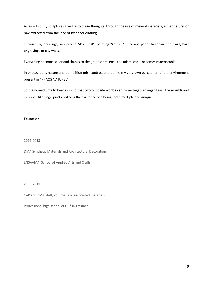As an artist, my sculptures give life to these thoughts, through the use of mineral materials, either natural or raw extracted from the land or by paper crafting.

Through my drawings, similarly to Max Ernst's painting "*La forêt*", I scrape paper to record the trails, bark engravings or city walls.

Everything becomes clear and thanks to the graphic presence the microscopic becomes macroscopic.

In photographs nature and demolition mix, contrast and define my very own perception of the environment present in "KHAOS NATUREL".

So many mediums to bear in mind that two opposite worlds can come together regardless. The moulds and imprints, like fingerprints, witness the existence of a being, both multiple and unique.

#### **Education**

#### 2011-2013

DMA Synthetic Materials and Architectural Decoration

ENSAAMA, School of Applied Arts and Crafts

#### 2009-2011

CAP and BMA staff, volumes and associated materials

Professional high school of Gué in Tresmes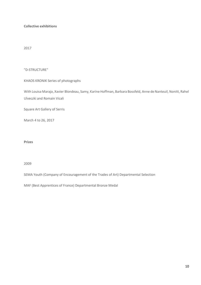#### **Collective exhibitions**

#### 2017

#### "D-STRUCTURE"

#### KHAOS KRONIK Series of photographs

With Louisa Marajo, Xavier Blondeau, Samy, Karine Hoffman, Barbara Bossfeld, Anne de Nanteuil, Nonitt, Rahel Ulveczki and Romain Vicali

Square Art Gallery of Serris

March 4 to 26, 2017

#### **Prizes**

2009

SEMA Youth (Company of Encouragement of the Trades of Art) Departmental Selection

MAF (Best Apprentices of France) Departmental Bronze Medal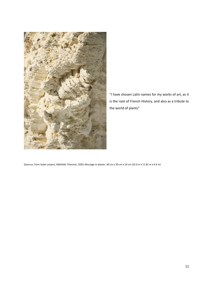

"I have chosen Latin names for my works of art, as it is the root of French History, and also as a tribute to the world of plants"

Quercus, from Suber project, Mathilde Thiennot, 2020, Moulage in plaster, 60 cm x 30 cm x 24 cm (23.6 in x 11.81 in x 9.4 in)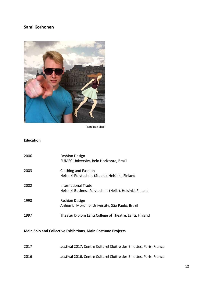# <span id="page-11-0"></span>**Sami Korhonen**



Photo Jean Merhi

### **Education**

| 2006 | <b>Fashion Design</b><br>FUMEC University, Belo Horizonte, Brazil               |
|------|---------------------------------------------------------------------------------|
| 2003 | <b>Clothing and Fashion</b><br>Helsinki Polytechnic (Stadia), Helsinki, Finland |
| 2002 | International Trade<br>Helsinki Business Polytechnic (Helia), Helsinki, Finland |
| 1998 | <b>Fashion Design</b><br>Anhembi Morumbi University, São Paulo, Brazil          |
| 1997 | Theater Diplom Lahti College of Theatre, Lahti, Finland                         |

## **Main Solo and Collective Exhibitions, Main Costume Projects**

| 2017 | aestival 2017, Centre Culturel Cloître des Billettes, Paris, France |
|------|---------------------------------------------------------------------|
| 2016 | aestival 2016, Centre Culturel Cloître des Billettes, Paris, France |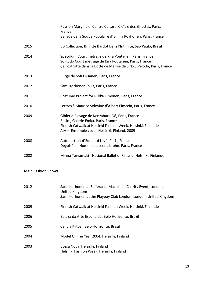|      | Passion Marginale, Centre Culturel Cloître des Billettes, Paris,<br>France<br>Ballade de la Soupe Populaire d'Emilia Pöyhönen, Paris, France                                                            |
|------|---------------------------------------------------------------------------------------------------------------------------------------------------------------------------------------------------------|
| 2015 | BB Collection, Brigitte Bardot Dans l'Intimité, Sao Paulo, Brazil                                                                                                                                       |
| 2014 | Speculum Court métrage de Kira Poutanen, Paris, France<br>Solitudo Court métrage de Kira Poutanen, Paris, France<br>Ça Foxtrotte dans la Botte de Mamie de Sirkku Peltola, Paris, France                |
| 2013 | Purge de Sofi Oksanen, Paris, France                                                                                                                                                                    |
| 2012 | Sami Korhonen SS13, Paris, France                                                                                                                                                                       |
| 2011 | Costume Project for Riikka Timonen, Paris, France                                                                                                                                                       |
| 2010 | Lettres à Maurice Solovine d'Albert Einstein, Paris, France                                                                                                                                             |
| 2009 | Gibier d'élevage de Kenzaburo Oé, Paris, France<br>Basics, Galerie Emka, Paris, France<br>Finnish Catwalk at Helsinki Fashion Week, Helsinki, Finlande<br>AIA - Ensemble vocal, Helsinki, Finland, 2009 |
| 2008 | Autoportrait d'Edouard Levé, Paris, France<br>Déguisé en Homme de Leena Krohn, Paris, France                                                                                                            |
| 2002 | Minna Tervamaki - National Ballet of Finland, Helsinki, Finlande                                                                                                                                        |

### **Main Fashion Shows**

| 2012 | Sami Korhonen at Zafferano, Macmillan Charity Event, London,<br>United Kingdom<br>Sami Korhonen at the Playboy Club London, London, United Kingdom |
|------|----------------------------------------------------------------------------------------------------------------------------------------------------|
| 2009 | Finnish Catwalk at Helsinki Fashion Week, Helsinki, Finlande                                                                                       |
| 2006 | Beleza da Arte Escondida, Belo Horizonte, Brazil                                                                                                   |
| 2005 | Cahvia Kiitos!, Belo Horizonte, Brazil                                                                                                             |
| 2004 | Model Of The Year 2004, Helsinki, Finland                                                                                                          |
| 2003 | Bossa Nova, Helsinki, Finland<br>Helsinki Fashion Week, Helsinki, Finland                                                                          |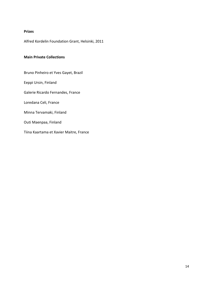#### **Prizes**

Alfred Kordelin Foundation Grant, Helsinki, 2011

#### **Main Private Collections**

Bruno Pinheiro et Yves Gayet, Brazil Eeppi Ursin, Finland Galerie Ricardo Fernandes, France Loredana Celi, France Minna Tervamaki, Finland Outi Maenpaa, Finland Tiina Kaartama et Xavier Maitre, France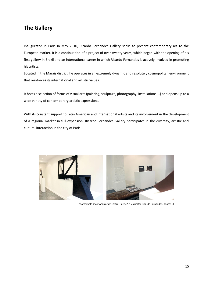# <span id="page-14-0"></span>**The Gallery**

Inaugurated in Paris in May 2010, Ricardo Fernandes Gallery seeks to present contemporary art to the European market. It is a continuation of a project of over twenty years, which began with the opening of his first gallery in Brazil and an international career in which Ricardo Fernandes is actively involved in promoting his artists.

Located in the Marais district, he operates in an extremely dynamic and resolutely cosmopolitan environment that reinforces its international and artistic values.

It hosts a selection of forms of visual arts (painting, sculpture, photography, installations ...) and opens up to a wide variety of contemporary artistic expressions.

With its constant support to Latin American and international artists and its involvement in the development of a regional market in full expansion, Ricardo Fernandes Gallery participates in the diversity, artistic and cultural interaction in the city of Paris.



Photos: Solo show Amilcar de Castro, Paris, 2015, curator Ricardo Fernandes, photos SK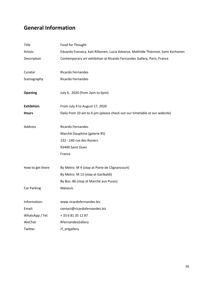# <span id="page-15-0"></span>**General Information**

| Title             | Food for Thought                                                                |
|-------------------|---------------------------------------------------------------------------------|
| Artists           | Eduardo Fonseca, Kati Riikonen, Lucia Adverse, Mathilde Thiennot, Sami Korhonen |
| Description       | Contemporary art exhibition at Ricardo Fernandes Gallery, Paris, France         |
| Curator           | Ricardo Fernandes                                                               |
| Scenography       | Ricardo Fernandes                                                               |
|                   |                                                                                 |
| <b>Opening</b>    | July 4, 2020 (from 2pm to 6pm)                                                  |
| <b>Exhibition</b> | From July 4 to August 17, 2020                                                  |
| <b>Hours</b>      | Daily from 10 am to 6 pm (please check out our timetable at our website)        |
| Address           | <b>Ricardo Fernandes</b>                                                        |
|                   | Marché Dauphine (galerie 95)                                                    |
|                   | 132 - 140 rue des Rosiers                                                       |
|                   | 93400 Saint Ouen                                                                |
|                   | France                                                                          |
| How to get there  | By Metro: M 4 (stop at Porte de Clignancourt)                                   |
|                   | By Metro: M 13 (stop at Garibaldi)                                              |
|                   | By Bus: 86 (stop at Marché aux Puces)                                           |
| Car Parking       | Malassis                                                                        |
|                   |                                                                                 |
| Information:      | www.ricardofernandes.biz                                                        |
| Email:            | contact@ricardofernandes.biz                                                    |
| WhatsApp / Tel:   | +33681351287                                                                    |
| WeChat            | RFernandesGallery                                                               |
| Twitter           | rf_artgallery                                                                   |
|                   |                                                                                 |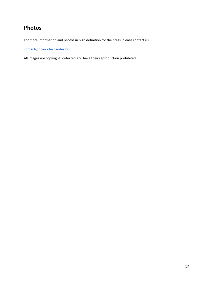# <span id="page-16-0"></span>**Photos**

For more information and photos in high definition for the press, please contact us:

[contact@ricardofernandes.biz](mailto:contact@ricardofernandes.biz)

All images are copyright protected and have their reproduction prohibited.